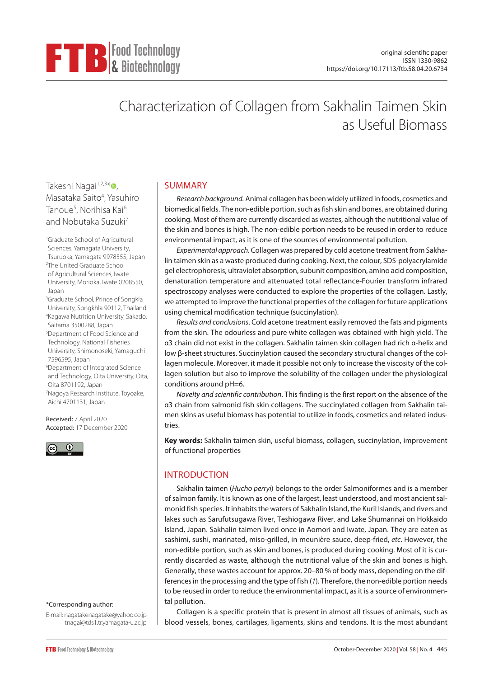

# Characterization of Collagen from Sakhalin Taimen Skin as Useful Biomass

Takeshi Nagai<sup>1,2,3[\\*](https://orcid.org/0000-0002-2081-8497)</sup> 0, Masataka Saito<sup>4</sup>, Yasuhiro Tanoue<sup>5</sup>, Norihisa Kai<sup>6</sup> and Nobutaka Suzuki<sup>7</sup>

1 Graduate School of Agricultural Sciences, Yamagata University, Tsuruoka, Yamagata 9978555, Japan 2 The United Graduate School of Agricultural Sciences, Iwate University, Morioka, Iwate 0208550, Japan

3 Graduate School, Prince of Songkla University, Songkhla 90112, Thailand 4 Kagawa Nutrition University, Sakado, Saitama 3500288, Japan 5 Department of Food Science and Technology, National Fisheries

University, Shimonoseki, Yamaguchi 7596595, Japan 6 Department of Integrated Science

and Technology, Oita University, Oita, Oita 8701192, Japan 7 Nagoya Research Institute, Toyoake, Aichi 4701131, Japan

Received: 7 April 2020 Accepted: 17 December 2020



### \*Corresponding author:

E-mail: nagatakenagatake@yahoo.co.jp tnagai@tds1.tr.yamagata-u.ac.jp

# SUMMARY

*Research background.* Animal collagen has been widely utilized in foods, cosmetics and biomedical fields. The non-edible portion, such as fish skin and bones, are obtained during cooking. Most of them are currently discarded as wastes, although the nutritional value of the skin and bones is high. The non-edible portion needs to be reused in order to reduce environmental impact, as it is one of the sources of environmental pollution.

*Experimental approach.* Collagen was prepared by cold acetone treatment from Sakhalin taimen skin as a waste produced during cooking. Next, the colour, SDS-polyacrylamide gel electrophoresis, ultraviolet absorption, subunit composition, amino acid composition, denaturation temperature and attenuated total reflectance-Fourier transform infrared spectroscopy analyses were conducted to explore the properties of the collagen. Lastly, we attempted to improve the functional properties of the collagen for future applications using chemical modification technique (succinylation).

*Results and conclusions*. Cold acetone treatment easily removed the fats and pigments from the skin. The odourless and pure white collagen was obtained with high yield. The α3 chain did not exist in the collagen. Sakhalin taimen skin collagen had rich α-helix and low β-sheet structures. Succinylation caused the secondary structural changes of the collagen molecule. Moreover, it made it possible not only to increase the viscosity of the collagen solution but also to improve the solubility of the collagen under the physiological conditions around pH=6.

*Novelty and scientific contribution*. This finding is the first report on the absence of the α3 chain from salmonid fish skin collagens. The succinylated collagen from Sakhalin taimen skins as useful biomass has potential to utilize in foods, cosmetics and related industries.

**Key words:** Sakhalin taimen skin, useful biomass, collagen, succinylation, improvement of functional properties

# INTRODUCTION

Sakhalin taimen (*Hucho perryi*) belongs to the order Salmoniformes and is a member of salmon family. It is known as one of the largest, least understood, and most ancient salmonid fish species. It inhabits the waters of Sakhalin Island, the Kuril Islands, and rivers and lakes such as Sarufutsugawa River, Teshiogawa River, and Lake Shumarinai on Hokkaido Island, Japan. Sakhalin taimen lived once in Aomori and Iwate, Japan. They are eaten as sashimi, sushi, marinated, miso-grilled, in meunière sauce, deep-fried, *etc*. However, the non-edible portion, such as skin and bones, is produced during cooking. Most of it is currently discarded as waste, although the nutritional value of the skin and bones is high. Generally, these wastes account for approx. 20–80 % of body mass, depending on the differences in the processing and the type of fish (*1*). Therefore, the non-edible portion needs to be reused in order to reduce the environmental impact, as it is a source of environmental pollution.

Collagen is a specific protein that is present in almost all tissues of animals, such as blood vessels, bones, cartilages, ligaments, skins and tendons. It is the most abundant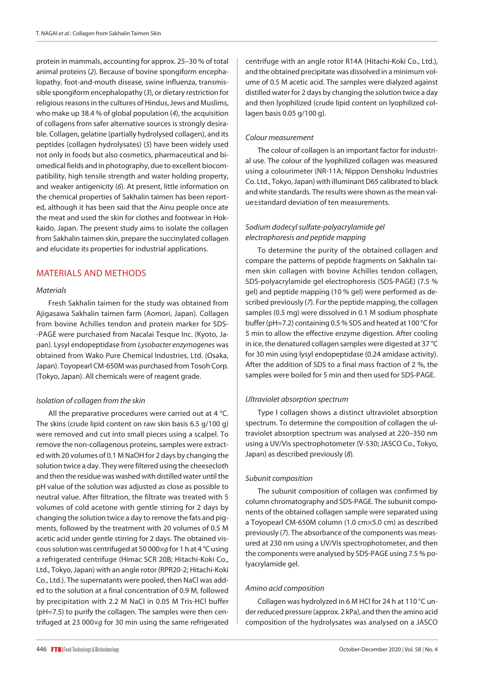protein in mammals, accounting for approx. 25–30 % of total animal proteins (*2*). Because of bovine spongiform encephalopathy, foot-and-mouth disease, swine influenza, transmissible spongiform encephalopathy (*3*), or dietary restriction for religious reasons in the cultures of Hindus, Jews and Muslims, who make up 38.4 % of global population (*4*), the acquisition of collagens from safer alternative sources is strongly desirable. Collagen, gelatine (partially hydrolysed collagen), and its peptides (collagen hydrolysates) (*5*) have been widely used not only in foods but also cosmetics, pharmaceutical and biomedical fields and in photography, due to excellent biocompatibility, high tensile strength and water holding property, and weaker antigenicity (*6*). At present, little information on the chemical properties of Sakhalin taimen has been reported, although it has been said that the Ainu people once ate the meat and used the skin for clothes and footwear in Hokkaido, Japan. The present study aims to isolate the collagen from Sakhalin taimen skin, prepare the succinylated collagen and elucidate its properties for industrial applications.

# MATERIALS AND METHODS

### *Materials*

Fresh Sakhalin taimen for the study was obtained from Ajigasawa Sakhalin taimen farm (Aomori, Japan). Collagen from bovine Achilles tendon and protein marker for SDS- -PAGE were purchased from Nacalai Tesque Inc. (Kyoto, Japan). Lysyl endopeptidase from *Lysobacter enzymogenes* was obtained from Wako Pure Chemical Industries, Ltd. (Osaka, Japan). Toyopearl CM-650M was purchased from Tosoh Corp. (Tokyo, Japan). All chemicals were of reagent grade.

# *Isolation of collagen from the skin*

All the preparative procedures were carried out at 4 °C. The skins (crude lipid content on raw skin basis 6.5 g/100 g) were removed and cut into small pieces using a scalpel. To remove the non-collagenous proteins, samples were extracted with 20 volumes of 0.1 M NaOH for 2 days by changing the solution twice a day. They were filtered using the cheesecloth and then the residue was washed with distilled water until the pH value of the solution was adjusted as close as possible to neutral value. After filtration, the filtrate was treated with 5 volumes of cold acetone with gentle stirring for 2 days by changing the solution twice a day to remove the fats and pigments, followed by the treatment with 20 volumes of 0.5 M acetic acid under gentle stirring for 2 days. The obtained viscous solution was centrifuged at 50 000×*g* for 1 h at 4 °C using a refrigerated centrifuge (Himac SCR 20B; Hitachi-Koki Co., Ltd., Tokyo, Japan) with an angle rotor (RPR20-2; Hitachi-Koki Co., Ltd.). The supernatants were pooled, then NaCl was added to the solution at a final concentration of 0.9 M, followed by precipitation with 2.2 M NaCl in 0.05 M Tris-HCl buffer (pH=7.5) to purify the collagen. The samples were then centrifuged at 23 000×*g* for 30 min using the same refrigerated centrifuge with an angle rotor R14A (Hitachi-Koki Co., Ltd.), and the obtained precipitate was dissolved in a minimum volume of 0.5 M acetic acid. The samples were dialyzed against distilled water for 2 days by changing the solution twice a day and then lyophilized (crude lipid content on lyophilized collagen basis 0.05 g/100 g).

### *Colour measurement*

The colour of collagen is an important factor for industrial use. The colour of the lyophilized collagen was measured using a colourimeter (NR-11A; Nippon Denshoku Industries Co. Ltd., Tokyo, Japan) with illuminant D65 calibrated to black and white standards. The results were shown as the mean value±standard deviation of ten measurements.

# *Sodium dodecyl sulfate-polyacrylamide gel electrophoresis and peptide mapping*

To determine the purity of the obtained collagen and compare the patterns of peptide fragments on Sakhalin taimen skin collagen with bovine Achilles tendon collagen, SDS-polyacrylamide gel electrophoresis (SDS-PAGE) (7.5 % gel) and peptide mapping (10 % gel) were performed as described previously (*7*). For the peptide mapping, the collagen samples (0.5 mg) were dissolved in 0.1 M sodium phosphate buffer (pH=7.2) containing 0.5 % SDS and heated at 100 °C for 5 min to allow the effective enzyme digestion. After cooling in ice, the denatured collagen samples were digested at 37 °C for 30 min using lysyl endopeptidase (0.24 amidase activity). After the addition of SDS to a final mass fraction of 2 %, the samples were boiled for 5 min and then used for SDS-PAGE.

# *Ultraviolet absorption spectrum*

Type I collagen shows a distinct ultraviolet absorption spectrum. To determine the composition of collagen the ultraviolet absorption spectrum was analysed at 220–350 nm using a UV/Vis spectrophotometer (V-530; JASCO Co., Tokyo, Japan) as described previously (*8*).

# *Subunit composition*

The subunit composition of collagen was confirmed by column chromatography and SDS-PAGE. The subunit components of the obtained collagen sample were separated using a Toyopearl CM-650M column (1.0 cm×5.0 cm) as described previously (*7*). The absorbance of the components was measured at 230 nm using a UV/Vis spectrophotometer, and then the components were analysed by SDS-PAGE using 7.5 % polyacrylamide gel.

### *Amino acid composition*

Collagen was hydrolyzed in 6 M HCl for 24 h at 110 °C under reduced pressure (approx. 2 kPa), and then the amino acid composition of the hydrolysates was analysed on a JASCO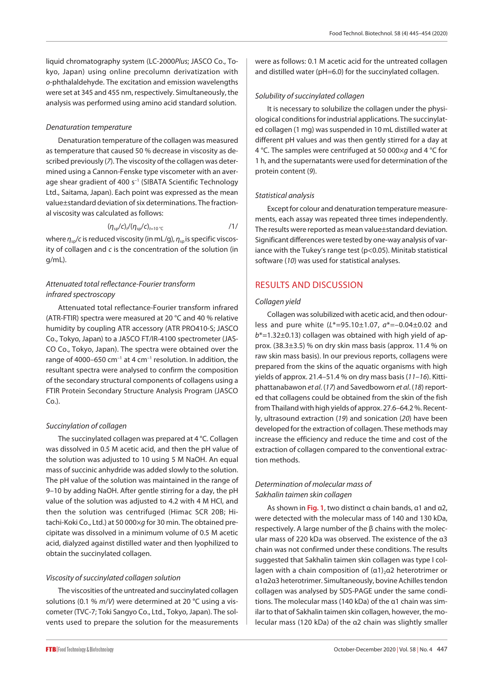liquid chromatography system (LC-2000*Plus*; JASCO Co., Tokyo, Japan) using online precolumn derivatization with *o*-phthalaldehyde. The excitation and emission wavelengths were set at 345 and 455 nm, respectively. Simultaneously, the analysis was performed using amino acid standard solution.

### *Denaturation temperature*

Denaturation temperature of the collagen was measured as temperature that caused 50 % decrease in viscosity as described previously (*7*). The viscosity of the collagen was determined using a Cannon-Fenske type viscometer with an average shear gradient of 400 s<sup>-1</sup> (SIBATA Scientific Technology Ltd., Saitama, Japan). Each point was expressed as the mean value±standard deviation of six determinations. The fractional viscosity was calculated as follows:

$$
(\eta_{sp}/c)_{t}/(\eta_{sp}/c)_{t=10\degree C}
$$

where  $η<sub>so</sub>/c$  is reduced viscosity (in mL/g),  $η<sub>so</sub>$  is specific viscosity of collagen and *c* is the concentration of the solution (in g/mL).

# *Attenuated total reflectance-Fourier transform infrared spectroscopy*

Attenuated total reflectance-Fourier transform infrared (ATR-FTIR) spectra were measured at 20 °C and 40 % relative humidity by coupling ATR accessory (ATR PRO410-S; JASCO Co., Tokyo, Japan) to a JASCO FT/IR-4100 spectrometer (JAS-CO Co., Tokyo, Japan). The spectra were obtained over the range of 4000–650 cm<sup>-1</sup> at 4 cm<sup>-1</sup> resolution. In addition, the resultant spectra were analysed to confirm the composition of the secondary structural components of collagens using a FTIR Protein Secondary Structure Analysis Program (JASCO Co.).

### *Succinylation of collagen*

The succinylated collagen was prepared at 4 °C. Collagen was dissolved in 0.5 M acetic acid, and then the pH value of the solution was adjusted to 10 using 5 M NaOH. An equal mass of succinic anhydride was added slowly to the solution. The pH value of the solution was maintained in the range of 9–10 by adding NaOH. After gentle stirring for a day, the pH value of the solution was adjusted to 4.2 with 4 M HCl, and then the solution was centrifuged (Himac SCR 20B; Hitachi-Koki Co., Ltd.) at 50 000×*g* for 30 min. The obtained precipitate was dissolved in a minimum volume of 0.5 M acetic acid, dialyzed against distilled water and then lyophilized to obtain the succinylated collagen.

### *Viscosity of succinylated collagen solution*

The viscosities of the untreated and succinylated collagen solutions (0.1 % *m*/*V*) were determined at 20 °C using a viscometer (TVC-7; Toki Sangyo Co., Ltd., Tokyo, Japan). The solvents used to prepare the solution for the measurements were as follows: 0.1 M acetic acid for the untreated collagen and distilled water (pH=6.0) for the succinylated collagen.

### *Solubility of succinylated collagen*

It is necessary to solubilize the collagen under the physiological conditions for industrial applications. The succinylated collagen (1 mg) was suspended in 10 mL distilled water at different pH values and was then gently stirred for a day at 4 °C. The samples were centrifuged at 50 000×*g* and 4 °C for 1 h, and the supernatants were used for determination of the protein content (*9*).

### *Statistical analysis*

Except for colour and denaturation temperature measurements, each assay was repeated three times independently. The results were reported as mean value±standard deviation. Significant differences were tested by one-way analysis of variance with the Tukey's range test (p<0.05). Minitab statistical software (*10*) was used for statistical analyses.

# RESULTS AND DISCUSSION

### *Collagen yield*

Collagen was solubilized with acetic acid, and then odourless and pure white (*L*\*=95.10±1.07, *a*\*=–0.04±0.02 and *b*\*=1.32±0.13) collagen was obtained with high yield of approx. (38.3±3.5) % on dry skin mass basis (approx. 11.4 % on raw skin mass basis). In our previous reports, collagens were prepared from the skins of the aquatic organisms with high yields of approx. 21.4–51.4 % on dry mass basis (*11–16*). Kittiphattanabawon *et al*. (*17*) and Savedboworn *et al*. (*18*) reported that collagens could be obtained from the skin of the fish from Thailand with high yields of approx. 27.6–64.2 %. Recently, ultrasound extraction (*19*) and sonication (*20*) have been developed for the extraction of collagen. These methods may increase the efficiency and reduce the time and cost of the extraction of collagen compared to the conventional extraction methods.

## *Determination of molecular mass of Sakhalin taimen skin collagen*

As shown in **[Fig. 1](#page-3-0)**, two distinct α chain bands, α1 and α2, were detected with the molecular mass of 140 and 130 kDa, respectively. A large number of the β chains with the molecular mass of 220 kDa was observed. The existence of the α3 chain was not confirmed under these conditions. The results suggested that Sakhalin taimen skin collagen was type I collagen with a chain composition of  $(α1)_2α2$  heterotrimer or α1α2α3 heterotrimer. Simultaneously, bovine Achilles tendon collagen was analysed by SDS-PAGE under the same conditions. The molecular mass (140 kDa) of the α1 chain was similar to that of Sakhalin taimen skin collagen, however, the molecular mass (120 kDa) of the α2 chain was slightly smaller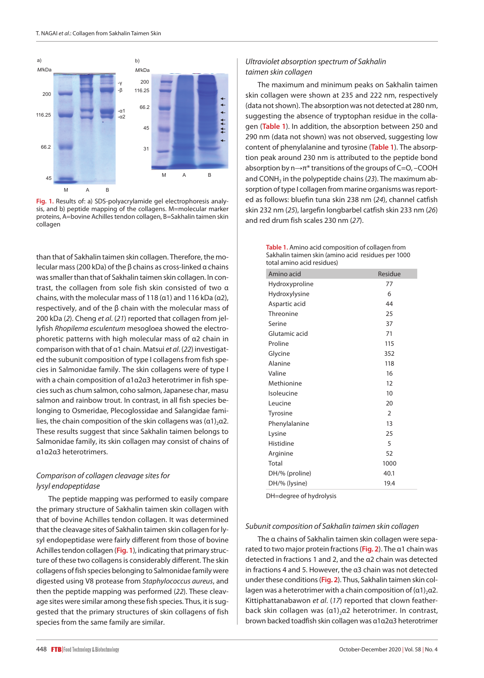<span id="page-3-0"></span>

**Fig. 1.** Results of: a) SDS-polyacrylamide gel electrophoresis analysis, and b) peptide mapping of the collagens. M=molecular marker proteins, A=bovine Achilles tendon collagen, B=Sakhalin taimen skin collagen

than that of Sakhalin taimen skin collagen. Therefore, the molecular mass (200 kDa) of the β chains as cross-linked α chains was smaller than that of Sakhalin taimen skin collagen. In contrast, the collagen from sole fish skin consisted of two α chains, with the molecular mass of 118 ( $\alpha$ 1) and 116 kDa ( $\alpha$ 2), respectively, and of the  $\beta$  chain with the molecular mass of 200 kDa (*2*). Cheng *et al*. (*21*) reported that collagen from jellyfish *Rhopilema esculentum* mesogloea showed the electrophoretic patterns with high molecular mass of α2 chain in comparison with that of α1 chain. Matsui *et al*. (*22*) investigated the subunit composition of type I collagens from fish species in Salmonidae family. The skin collagens were of type I with a chain composition of α1α2α3 heterotrimer in fish species such as chum salmon, coho salmon, Japanese char, masu salmon and rainbow trout. In contrast, in all fish species belonging to Osmeridae, Plecoglossidae and Salangidae families, the chain composition of the skin collagens was  $(\alpha 1)_2 \alpha 2$ . These results suggest that since Sakhalin taimen belongs to Salmonidae family, its skin collagen may consist of chains of α1α2α3 heterotrimers.

## *Comparison of collagen cleavage sites for lysyl endopeptidase*

The peptide mapping was performed to easily compare the primary structure of Sakhalin taimen skin collagen with that of bovine Achilles tendon collagen. It was determined that the cleavage sites of Sakhalin taimen skin collagen for lysyl endopeptidase were fairly different from those of bovine Achilles tendon collagen (**[Fig. 1](#page-3-0)**), indicating that primary structure of these two collagens is considerably different. The skin collagens of fish species belonging to Salmonidae family were digested using V8 protease from *Staphylococcus aureus*, and then the peptide mapping was performed (*22*). These cleavage sites were similar among these fish species. Thus, it is suggested that the primary structures of skin collagens of fish species from the same family are similar.

The maximum and minimum peaks on Sakhalin taimen skin collagen were shown at 235 and 222 nm, respectively (data not shown). The absorption was not detected at 280 nm, suggesting the absence of tryptophan residue in the collagen (**[Table 1](#page-3-1)**). In addition, the absorption between 250 and 290 nm (data not shown) was not observed, suggesting low content of phenylalanine and tyrosine (**[Table 1](#page-3-1)**). The absorption peak around 230 nm is attributed to the peptide bond absorption by n→π\* transitions of the groups of C=O, –COOH and CONH<sub>2</sub> in the polypeptide chains (23). The maximum absorption of type I collagen from marine organisms was reported as follows: bluefin tuna skin 238 nm (*24*), channel catfish skin 232 nm (*25*), largefin longbarbel catfish skin 233 nm (*26*) and red drum fish scales 230 nm (*27*).

> <span id="page-3-1"></span>**Table 1.** Amino acid composition of collagen from Sakhalin taimen skin (amino acid residues per 1000 total amino acid residues)

| Amino acid     | Residue |
|----------------|---------|
| Hydroxyproline | 77      |
| Hydroxylysine  | 6       |
| Aspartic acid  | 44      |
| Threonine      | 25      |
| Serine         | 37      |
| Glutamic acid  | 71      |
| Proline        | 115     |
| Glycine        | 352     |
| Alanine        | 118     |
| Valine         | 16      |
| Methionine     | 12      |
| Isoleucine     | 10      |
| Leucine        | 20      |
| Tyrosine       | 2       |
| Phenylalanine  | 13      |
| Lysine         | 25      |
| Histidine      | 5       |
| Arginine       | 52      |
| Total          | 1000    |
| DH/% (proline) | 40.1    |
| DH/% (lysine)  | 19.4    |

DH=degree of hydrolysis

#### *Subunit composition of Sakhalin taimen skin collagen*

The α chains of Sakhalin taimen skin collagen were separated to two major protein fractions (**[Fig.](#page-4-0) 2**). The α1 chain was detected in fractions 1 and 2, and the α2 chain was detected in fractions 4 and 5. However, the α3 chain was not detected under these conditions (**[Fig.](#page-4-0) 2**). Thus, Sakhalin taimen skin collagen was a heterotrimer with a chain composition of  $(\alpha 1)_2 \alpha 2$ . Kittiphattanabawon *et al*. (*17*) reported that clown featherback skin collagen was  $(a1)_2a2$  heterotrimer. In contrast, brown backed toadfish skin collagen was α1α2α3 heterotrimer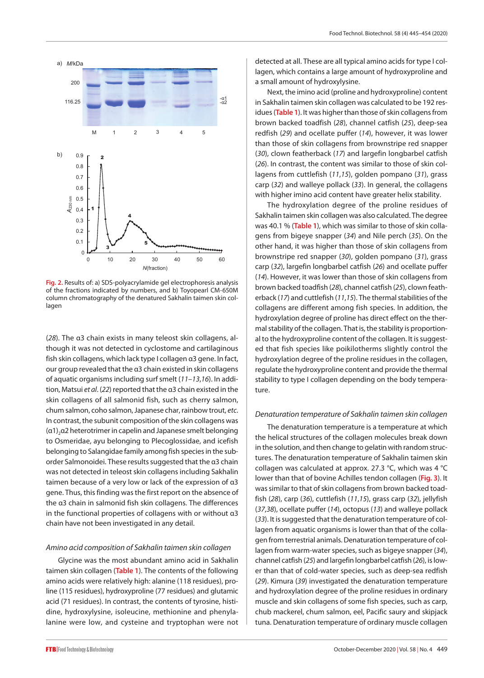<span id="page-4-0"></span>

 $F_1$  and  $F_2$  softs of the fractions indicated by  $F_1$  and  $F_2$  the fractions indicated by  $F_1$  and  $F_2$  and  $F_3$  and  $F_4$  and  $F_5$  and  $F_6$  and  $F_7$  and  $F_8$  and  $F_9$  and  $F_9$  and  $F_9$  and  $F_9$  and  $F_9$  **Fig. 2.** Results of: a) SDS-polyacrylamide gel electrophoresis analysis of the fractions indicated by numbers, and b) Toyopearl CM-650M column chromatography of the denatured Sakhalin taimen skin collagen

(*28*). The α3 chain exists in many teleost skin collagens, although it was not detected in cyclostome and cartilaginous fish skin collagens, which lack type I collagen α3 gene. In fact, our group revealed that the α3 chain existed in skin collagens of aquatic organisms including surf smelt (*11–13*,*16*). In addition, Matsui *et al*. (*22*) reported that the α3 chain existed in the skin collagens of all salmonid fish, such as cherry salmon, chum salmon, coho salmon, Japanese char, rainbow trout, *etc*. In contrast, the subunit composition of the skin collagens was  $(\alpha_1)$ <sub>2</sub> $\alpha_2$  heterotrimer in capelin and Japanese smelt belonging to Osmeridae, ayu belonging to Plecoglossidae, and icefish belonging to Salangidae family among fish species in the suborder Salmonoidei. These results suggested that the α3 chain was not detected in teleost skin collagens including Sakhalin taimen because of a very low or lack of the expression of α3 gene. Thus, this finding was the first report on the absence of the α3 chain in salmonid fish skin collagens. The differences in the functional properties of collagens with or without α3 chain have not been investigated in any detail.

#### *Amino acid composition of Sakhalin taimen skin collagen*

Glycine was the most abundant amino acid in Sakhalin taimen skin collagen (**[Table 1](#page-3-1)**). The contents of the following amino acids were relatively high: alanine (118 residues), proline (115 residues), hydroxyproline (77 residues) and glutamic acid (71 residues). In contrast, the contents of tyrosine, histidine, hydroxylysine, isoleucine, methionine and phenylalanine were low, and cysteine and tryptophan were not detected at all. These are all typical amino acids for type I collagen, which contains a large amount of hydroxyproline and a small amount of hydroxylysine.

Next, the imino acid (proline and hydroxyproline) content in Sakhalin taimen skin collagen was calculated to be 192 residues (**[Table 1](#page-3-1)**). It was higher than those of skin collagens from brown backed toadfish (*28*), channel catfish (*25*), deep-sea redfish (*29*) and ocellate puffer (*14*), however, it was lower than those of skin collagens from brownstripe red snapper (*30*), clown featherback (*17*) and largefin longbarbel catfish (*26*). In contrast, the content was similar to those of skin collagens from cuttlefish (*11*,*15*), golden pompano (*31*), grass carp (*32*) and walleye pollack (*33*). In general, the collagens with higher imino acid content have greater helix stability.

The hydroxylation degree of the proline residues of Sakhalin taimen skin collagen was also calculated. The degree was 40.1 % (**[Table 1](#page-3-1)**), which was similar to those of skin collagens from bigeye snapper (*34*) and Nile perch (*35*). On the other hand, it was higher than those of skin collagens from brownstripe red snapper (*30*), golden pompano (*31*), grass carp (*32*), largefin longbarbel catfish (*26*) and ocellate puffer (*14*). However, it was lower than those of skin collagens from brown backed toadfish (*28*), channel catfish (*25*), clown featherback (*17*) and cuttlefish (*11*,*15*). The thermal stabilities of the collagens are different among fish species. In addition, the hydroxylation degree of proline has direct effect on the thermal stability of the collagen. That is, the stability is proportional to the hydroxyproline content of the collagen. It is suggested that fish species like poikilotherms slightly control the hydroxylation degree of the proline residues in the collagen, regulate the hydroxyproline content and provide the thermal stability to type I collagen depending on the body temperature. numbers, and b) Toyopearl CM-650M column chromatography of the denatured Sakhalin taimen skinner skinner skinne

#### *Denaturation temperature of Sakhalin taimen skin collagen*

The denaturation temperature is a temperature at which the helical structures of the collagen molecules break down in the solution, and then change to gelatin with random structures. The denaturation temperature of Sakhalin taimen skin collagen was calculated at approx. 27.3 °C, which was 4 °C lower than that of bovine Achilles tendon collagen (**[Fig.](#page-5-0) 3**). It was similar to that of skin collagens from brown backed toadfish (*28*), carp (*36*), cuttlefish (*11*,*15*), grass carp (*32*), jellyfish (*37*,*38*), ocellate puffer (*14*), octopus (*13*) and walleye pollack (*33*). It is suggested that the denaturation temperature of collagen from aquatic organisms is lower than that of the collagen from terrestrial animals. Denaturation temperature of collagen from warm-water species, such as bigeye snapper (*34*), channel catfish (*25*) and largefin longbarbel catfish (*26*), is lower than that of cold-water species, such as deep-sea redfish (*29*). Kimura (*39*) investigated the denaturation temperature and hydroxylation degree of the proline residues in ordinary muscle and skin collagens of some fish species, such as carp, chub mackerel, chum salmon, eel, Pacific saury and skipjack tuna. Denaturation temperature of ordinary muscle collagen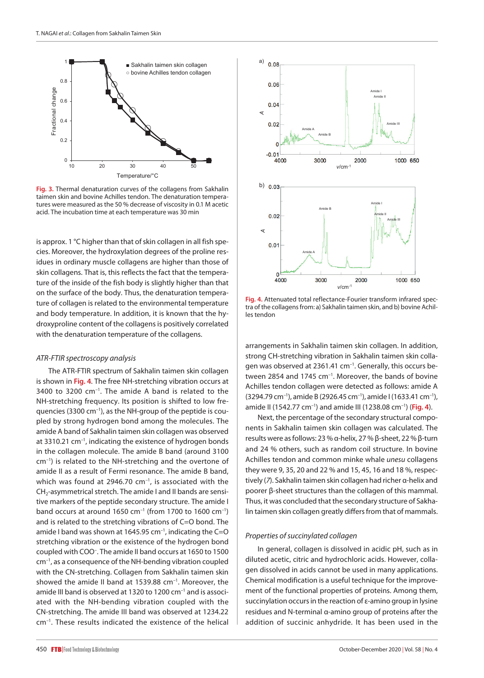<span id="page-5-1"></span>

Fig. 3. The incubation time at each temperature was 30 min **Fig. 3.** Thermal denaturation curves of the collagens from Sakhalin taimen skin and bovine Achilles tendon. The denaturation temperatures were measured as the 50 % decrease of viscosity in 0.1 M acetic

is approx. 1 °C higher than that of skin collagen in all fish species. Moreover, the hydroxylation degrees of the proline residues in ordinary muscle collagens are higher than those of skin collagens. That is, this reflects the fact that the temperature of the inside of the fish body is slightly higher than that on the surface of the body. Thus, the denaturation temperature of collagen is related to the environmental temperature and body temperature. In addition, it is known that the hydroxyproline content of the collagens is positively correlated with the denaturation temperature of the collagens.

#### *ATR-FTIR spectroscopy analysis*

The ATR-FTIR spectrum of Sakhalin taimen skin collagen is shown in **[Fig. 4](#page-5-1)**. The free NH-stretching vibration occurs at  $3400$  to  $3200$  cm<sup>-1</sup>. The amide A band is related to the NH-stretching frequency. Its position is shifted to low frequencies (3300 cm–1), as the NH-group of the peptide is coupled by strong hydrogen bond among the molecules. The amide A band of Sakhalin taimen skin collagen was observed at 3310.21 cm–1, indicating the existence of hydrogen bonds in the collagen molecule. The amide B band (around 3100 cm–1) is related to the NH-stretching and the overtone of amide II as a result of Fermi resonance. The amide B band, which was found at 2946.70  $cm^{-1}$ , is associated with the  $CH<sub>2</sub>$ -asymmetrical stretch. The amide I and II bands are sensitive markers of the peptide secondary structure. The amide I band occurs at around 1650 cm<sup>-1</sup> (from 1700 to 1600 cm<sup>-1</sup>) and is related to the stretching vibrations of C=O bond. The amide I band was shown at 1645.95  $cm^{-1}$ , indicating the C=O stretching vibration or the existence of the hydrogen bond coupled with COO– . The amide II band occurs at 1650 to 1500 cm–1, as a consequence of the NH-bending vibration coupled with the CN-stretching. Collagen from Sakhalin taimen skin showed the amide II band at 1539.88 cm<sup>-1</sup>. Moreover, the amide III band is observed at 1320 to 1200 cm<sup>-1</sup> and is associated with the NH-bending vibration coupled with the CN-stretching. The amide III band was observed at 1234.22 cm–1. These results indicated the existence of the helical

<span id="page-5-0"></span>

**Fig. 4.** Attenuated total reflectance-Fourier transform infrared spectra of the collagens from: a) Sakhalin taimen skin, and b) bovine Achilles tendon

arrangements in Sakhalin taimen skin collagen. In addition, strong CH-stretching vibration in Sakhalin taimen skin collagen was observed at 2361.41 cm<sup>-1</sup>. Generally, this occurs between 2854 and 1745 cm $^{-1}$ . Moreover, the bands of bovine  $\parallel$  Achilles tendon collagen were detected as follows: amide A  $(3294.79 \text{ cm}^{-1})$ , amide B $(2926.45 \text{ cm}^{-1})$ , amide I $(1633.41 \text{ cm}^{-1})$ , amide II (1542.77 cm–1) and amide III (1238.08 cm–1) (**[Fig. 4](#page-5-1)**).

Next, the percentage of the secondary structural components in Sakhalin taimen skin collagen was calculated. The results were as follows: 23 % α-helix, 27 % β-sheet, 22 % β-turn and 24 % others, such as random coil structure. In bovine Achilles tendon and common minke whale *unesu* collagens they were 9, 35, 20 and 22 % and 15, 45, 16 and 18 %, respectively (*7*). Sakhalin taimen skin collagen had richer α-helix and poorer β-sheet structures than the collagen of this mammal. Thus, it was concluded that the secondary structure of Sakhalin taimen skin collagen greatly differs from that of mammals.

### *Properties of succinylated collagen*

In general, collagen is dissolved in acidic pH, such as in diluted acetic, citric and hydrochloric acids. However, collagen dissolved in acids cannot be used in many applications. Chemical modification is a useful technique for the improvement of the functional properties of proteins. Among them, succinylation occurs in the reaction of ε-amino group in lysine residues and N-terminal α-amino group of proteins after the addition of succinic anhydride. It has been used in the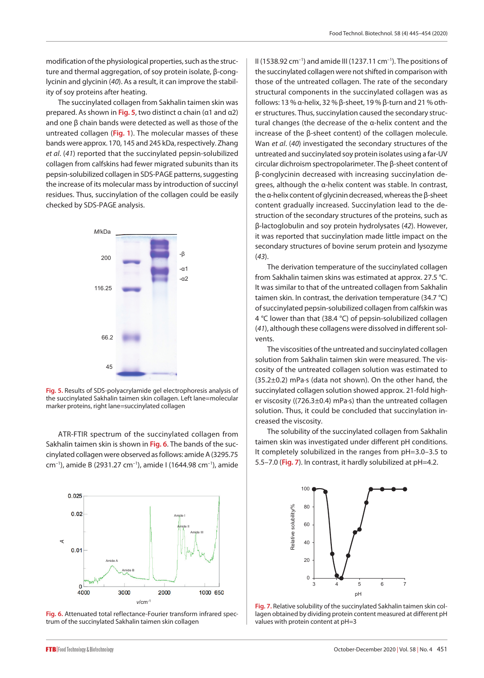modification of the physiological properties, such as the structure and thermal aggregation, of soy protein isolate, β-conglycinin and glycinin (*40*). As a result, it can improve the stability of soy proteins after heating.

The succinylated collagen from Sakhalin taimen skin was prepared. As shown in **[Fig. 5](#page-6-0)**, two distinct α chain (α1 and α2) and one β chain bands were detected as well as those of the untreated collagen (**[Fig. 1](#page-3-0)**). The molecular masses of these bands were approx. 170, 145 and 245 kDa, respectively. Zhang *et al*. (*41*) reported that the succinylated pepsin-solubilized collagen from calfskins had fewer migrated subunits than its pepsin-solubilized collagen in SDS-PAGE patterns, suggesting the increase of its molecular mass by introduction of succinyl residues. Thus, succinylation of the collagen could be easily checked by SDS-PAGE analysis.

<span id="page-6-0"></span>

the succinylated Sakhalin taimen skin collagen. Left lane=molecular dellar suiscositi marker proteins, right lane=succinylated collagen marker proteins, right lane=succinylated collagen **Fig. 5.** Results of SDS-polyacrylamide gel electrophoresis analysis of 66.2

cinylated collagen were observed as follows: amide A (3295.75 | It completely cm<sup>-1</sup>), amide B (2931.27 cm<sup>-1</sup>), amide I (1644.98 cm<sup>-1</sup>), amide  $\begin{bmatrix} 5.5 - 7. \end{bmatrix}$ ATR-FTIR spectrum of the succinylated collagen from Sakhalin taimen skin is shown in **[Fig. 6](#page-6-2)**. The bands of the suc-

<span id="page-6-2"></span>

Fig. 6. Attenuated total reflectance-Fourier transform infrared spectrum of the succinylated Sakhalin trum of the succinylated Sakhalin taimen skin collagen **Fig. 6.** Attenuated total reflectance-Fourier transform infrared spec-

II (1538.92 cm<sup>-1</sup>) and amide III (1237.11 cm<sup>-1</sup>). The positions of the succinylated collagen were not shifted in comparison with those of the untreated collagen. The rate of the secondary structural components in the succinylated collagen was as follows: 13 % α-helix, 32 % β-sheet, 19 % β-turn and 21 % other structures. Thus, succinylation caused the secondary structural changes (the decrease of the α-helix content and the increase of the β-sheet content) of the collagen molecule. Wan *et al*. (*40*) investigated the secondary structures of the untreated and succinylated soy protein isolates using a far-UV circular dichroism spectropolarimeter. The β-sheet content of β-conglycinin decreased with increasing succinylation degrees, although the α-helix content was stable. In contrast, the α-helix content of glycinin decreased, whereas the β-sheet content gradually increased. Succinylation lead to the destruction of the secondary structures of the proteins, such as β-lactoglobulin and soy protein hydrolysates (*42*). However, it was reported that succinylation made little impact on the secondary structures of bovine serum protein and lysozyme (*43*).

The derivation temperature of the succinylated collagen from Sakhalin taimen skins was estimated at approx. 27.5 °C. It was similar to that of the untreated collagen from Sakhalin taimen skin. In contrast, the derivation temperature (34.7 °C) of succinylated pepsin-solubilized collagen from calfskin was 4 °C lower than that (38.4 °C) of pepsin-solubilized collagen (*41*), although these collagens were dissolved in different solvents.

The viscosities of the untreated and succinylated collagen solution from Sakhalin taimen skin were measured. The viscosity of the untreated collagen solution was estimated to (35.2±0.2) mPa∙s (data not shown). On the other hand, the succinylated collagen solution showed approx. 21-fold higher viscosity ((726.3±0.4) mPa∙s) than the untreated collagen solution. Thus, it could be concluded that succinylation increased the viscosity.

The solubility of the succinylated collagen from Sakhalin taimen skin was investigated under different pH conditions. It completely solubilized in the ranges from pH=3.0–3.5 to 5.5–7.0 (**[Fig.](#page-6-1) 7**). In contrast, it hardly solubilized at pH=4.2.

<span id="page-6-1"></span>

relative solutions succine successive successive successive providing the values with protein content at  $pH=3$ **Fig. 7.** Relative solubility of the succinylated Sakhalin taimen skin collagen obtained by dividing protein content measured at different pH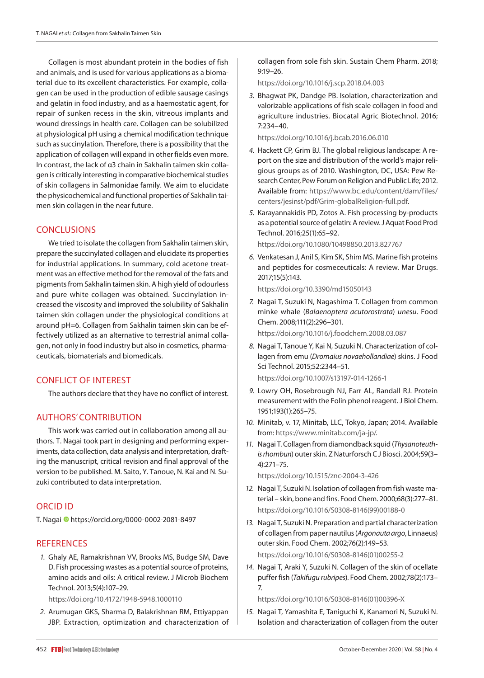Collagen is most abundant protein in the bodies of fish and animals, and is used for various applications as a biomaterial due to its excellent characteristics. For example, collagen can be used in the production of edible sausage casings and gelatin in food industry, and as a haemostatic agent, for repair of sunken recess in the skin, vitreous implants and wound dressings in health care. Collagen can be solubilized at physiological pH using a chemical modification technique such as succinylation. Therefore, there is a possibility that the application of collagen will expand in other fields even more. In contrast, the lack of α3 chain in Sakhalin taimen skin collagen is critically interesting in comparative biochemical studies of skin collagens in Salmonidae family. We aim to elucidate the physicochemical and functional properties of Sakhalin taimen skin collagen in the near future.

# **CONCLUSIONS**

We tried to isolate the collagen from Sakhalin taimen skin, prepare the succinylated collagen and elucidate its properties for industrial applications. In summary, cold acetone treatment was an effective method for the removal of the fats and pigments from Sakhalin taimen skin. A high yield of odourless and pure white collagen was obtained. Succinylation increased the viscosity and improved the solubility of Sakhalin taimen skin collagen under the physiological conditions at around pH=6. Collagen from Sakhalin taimen skin can be effectively utilized as an alternative to terrestrial animal collagen, not only in food industry but also in cosmetics, pharmaceuticals, biomaterials and biomedicals.

# CONFLICT OF INTEREST

The authors declare that they have no conflict of interest.

# AUTHORS' CONTRIBUTION

This work was carried out in collaboration among all authors. T. Nagai took part in designing and performing experiments, data collection, data analysis and interpretation, drafting the manuscript, critical revision and final approval of the version to be published. M. Saito, Y. Tanoue, N. Kai and N. Suzuki contributed to data interpretation.

# ORCID ID

T. Nagai <sup>+</sup> https://orcid.org/0000-0002-2081-8497

# **REFERENCES**

*1.* Ghaly AE, Ramakrishnan VV, Brooks MS, Budge SM, Dave D. Fish processing wastes as a potential source of proteins, amino acids and oils: A critical review. J Microb Biochem Technol. 2013;5(4):107–29.

https://doi.org/10.4172/1948-5948.1000110

*2.* Arumugan GKS, Sharma D, Balakrishnan RM, Ettiyappan JBP. Extraction, optimization and characterization of collagen from sole fish skin. Sustain Chem Pharm. 2018; 9:19–26.

https://doi.org/10.1016/j.scp.2018.04.003

*3.* Bhagwat PK, Dandge PB. Isolation, characterization and valorizable applications of fish scale collagen in food and agriculture industries. Biocatal Agric Biotechnol. 2016; 7:234–40.

https://doi.org/10.1016/j.bcab.2016.06.010

- *4.* Hackett CP, Grim BJ. The global religious landscape: A report on the size and distribution of the world's major religious groups as of 2010. Washington, DC, USA: Pew Research Center, Pew Forum on Religion and Public Life; 2012. Available from: https://www.bc.edu/content/dam/files/ centers/jesinst/pdf/Grim-globalReligion-full.pdf.
- *5.* Karayannakidis PD, Zotos A. Fish processing by-products as a potential source of gelatin: A review. J Aquat Food Prod Technol. 2016;25(1):65–92.

https://doi.org/10.1080/10498850.2013.827767

*6.* Venkatesan J, Anil S, Kim SK, Shim MS. Marine fish proteins and peptides for cosmeceuticals: A review. Mar Drugs. 2017;15(5):143.

https://doi.org/10.3390/md15050143

*7.* Nagai T, Suzuki N, Nagashima T. Collagen from common minke whale (*Balaenoptera acutorostrata*) *unesu*. Food Chem. 2008;111(2):296–301.

https://doi.org/10.1016/j.foodchem.2008.03.087

- *8.* Nagai T, Tanoue Y, Kai N, Suzuki N. Characterization of collagen from emu (*Dromaius novaehollandiae*) skins. J Food Sci Technol. 2015;52:2344–51. https://doi.org/10.1007/s13197-014-1266-1
- *9.* Lowry OH, Rosebrough NJ, Farr AL, Randall RJ. Protein measurement with the Folin phenol reagent. J Biol Chem. 1951;193(1):265–75.
- *10.* Minitab, v. 17, Minitab, LLC, Tokyo, Japan; 2014. Available from: https://www.minitab.com/ja-jp/.
- *11.* Nagai T. Collagen from diamondback squid (*Thysanoteuthis rhombun*) outer skin. Z Naturforsch C J Biosci. 2004;59(3– 4):271–75.

https://doi.org/10.1515/znc-2004-3-426

- *12.* Nagai T, Suzuki N. Isolation of collagen from fish waste material – skin, bone and fins. Food Chem. 2000;68(3):277–81. https://doi.org/10.1016/S0308-8146(99)00188-0
- *13.* Nagai T, Suzuki N. Preparation and partial characterization of collagen from paper nautilus (*Argonauta argo*, Linnaeus) outer skin. Food Chem. 2002;76(2):149–53. https://doi.org/10.1016/S0308-8146(01)00255-2
- *14.* Nagai T, Araki Y, Suzuki N. Collagen of the skin of ocellate puffer fish (*Takifugu rubripes*). Food Chem. 2002;78(2):173– 7.

https://doi.org/10.1016/S0308-8146(01)00396-X

*15.* Nagai T, Yamashita E, Taniguchi K, Kanamori N, Suzuki N. Isolation and characterization of collagen from the outer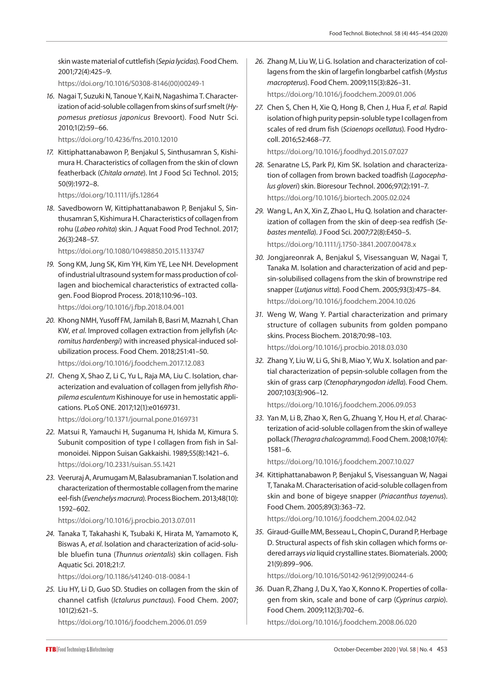skin waste material of cuttlefish (*Sepia lycidas*). Food Chem. 2001;72(4):425–9.

https://doi.org/10.1016/S0308-8146(00)00249-1

*16.* Nagai T, Suzuki N, Tanoue Y, Kai N, Nagashima T. Characterization of acid-soluble collagen from skins of surf smelt (*Hypomesus pretiosus japonicus* Brevoort). Food Nutr Sci. 2010;1(2):59–66.

https://doi.org/10.4236/fns.2010.12010

*17.* Kittiphattanabawon P, Benjakul S, Sinthusamran S, Kishimura H. Characteristics of collagen from the skin of clown featherback (*Chitala ornate*). Int J Food Sci Technol. 2015; 50(9):1972–8.

https://doi.org/10.1111/ijfs.12864

*18.* Savedboworn W, Kittiphattanabawon P, Benjakul S, Sinthusamran S, Kishimura H. Characteristics of collagen from rohu (*Labeo rohita*) skin. J Aquat Food Prod Technol. 2017; 26(3):248–57.

https://doi.org/10.1080/10498850.2015.1133747

- *19.* Song KM, Jung SK, Kim YH, Kim YE, Lee NH. Development of industrial ultrasound system for mass production of collagen and biochemical characteristics of extracted collagen. Food Bioprod Process. 2018;110:96–103. https://doi.org/10.1016/j.fbp.2018.04.001
- *20.* Khong NMH, Yusoff FM, Jamilah B, Basri M, Maznah I, Chan KW, *et al*. Improved collagen extraction from jellyfish (*Acromitus hardenbergi*) with increased physical-induced solubilization process. Food Chem. 2018;251:41–50. https://doi.org/10.1016/j.foodchem.2017.12.083
- *21.* Cheng X, Shao Z, Li C, Yu L, Raja MA, Liu C. Isolation, characterization and evaluation of collagen from jellyfish *Rhopilema esculentum* Kishinouye for use in hemostatic applications. PLoS ONE. 2017;12(1):e0169731. https://doi.org/10.1371/journal.pone.0169731
- *22.* Matsui R, Yamauchi H, Suganuma H, Ishida M, Kimura S. Subunit composition of type I collagen from fish in Salmonoidei. Nippon Suisan Gakkaishi. 1989;55(8):1421–6. https://doi.org/10.2331/suisan.55.1421
- *23.* Veeruraj A, Arumugam M, Balasubramanian T. Isolation and characterization of thermostable collagen from the marine eel-fish (*Evenchelys macrura*). Process Biochem. 2013;48(10): 1592–602.

### https://doi.org/10.1016/j.procbio.2013.07.011

*24.* Tanaka T, Takahashi K, Tsubaki K, Hirata M, Yamamoto K, Biswas A, *et al*. Isolation and characterization of acid-soluble bluefin tuna (*Thunnus orientalis*) skin collagen. Fish Aquatic Sci. 2018;21:7.

https://doi.org/10.1186/s41240-018-0084-1

*25.* Liu HY, Li D, Guo SD. Studies on collagen from the skin of channel catfish (*Ictalurus punctaus*). Food Chem. 2007; 101(2):621–5.

https://doi.org/10.1016/j.foodchem.2006.01.059

- *26.* Zhang M, Liu W, Li G. Isolation and characterization of collagens from the skin of largefin longbarbel catfish (*Mystus macropterus*). Food Chem. 2009;115(3):826–31. https://doi.org/10.1016/j.foodchem.2009.01.006
- *27.* Chen S, Chen H, Xie Q, Hong B, Chen J, Hua F, *et al.* Rapid isolation of high purity pepsin-soluble type I collagen from scales of red drum fish (*Sciaenops ocellatus*). Food Hydrocoll. 2016;52:468–77.

https://doi.org/10.1016/j.foodhyd.2015.07.027

- *28.* Senaratne LS, Park PJ, Kim SK. Isolation and characterization of collagen from brown backed toadfish (*Lagocephalus gloveri*) skin. Bioresour Technol. 2006;97(2):191–7. https://doi.org/10.1016/j.biortech.2005.02.024
- *29.* Wang L, An X, Xin Z, Zhao L, Hu Q. Isolation and characterization of collagen from the skin of deep-sea redfish (*Sebastes mentella*). J Food Sci. 2007;72(8):E450–5. https://doi.org/10.1111/j.1750-3841.2007.00478.x
- *30.* Jongjareonrak A, Benjakul S, Visessanguan W, Nagai T, Tanaka M. Isolation and characterization of acid and pepsin-solubilised collagens from the skin of brownstripe red snapper (*Lutjanus vitta*). Food Chem. 2005;93(3):475–84. https://doi.org/10.1016/j.foodchem.2004.10.026
- *31.* Weng W, Wang Y. Partial characterization and primary structure of collagen subunits from golden pompano skins. Process Biochem. 2018;70:98–103. https://doi.org/10.1016/j.procbio.2018.03.030
- *32.* Zhang Y, Liu W, Li G, Shi B, Miao Y, Wu X. Isolation and partial characterization of pepsin-soluble collagen from the skin of grass carp (*Ctenopharyngodon idella*). Food Chem. 2007;103(3):906–12.

https://doi.org/10.1016/j.foodchem.2006.09.053

*33.* Yan M, Li B, Zhao X, Ren G, Zhuang Y, Hou H, *et al*. Characterization of acid-soluble collagen from the skin of walleye pollack (*Theragra chalcogramma*). Food Chem. 2008;107(4): 1581–6.

https://doi.org/10.1016/j.foodchem.2007.10.027

*34.* Kittiphattanabawon P, Benjakul S, Visessanguan W, Nagai T, Tanaka M. Characterisation of acid-soluble collagen from skin and bone of bigeye snapper (*Priacanthus tayenus*). Food Chem. 2005;89(3):363–72.

https://doi.org/10.1016/j.foodchem.2004.02.042

*35.* Giraud-Guille MM, Besseau L, Chopin C, Durand P, Herbage D. Structural aspects of fish skin collagen which forms ordered arrays *via* liquid crystalline states. Biomaterials. 2000; 21(9):899–906.

https://doi.org/10.1016/S0142-9612(99)00244-6

*36.* Duan R, Zhang J, Du X, Yao X, Konno K. Properties of collagen from skin, scale and bone of carp (*Cyprinus carpio*). Food Chem. 2009;112(3):702–6.

https://doi.org/10.1016/j.foodchem.2008.06.020